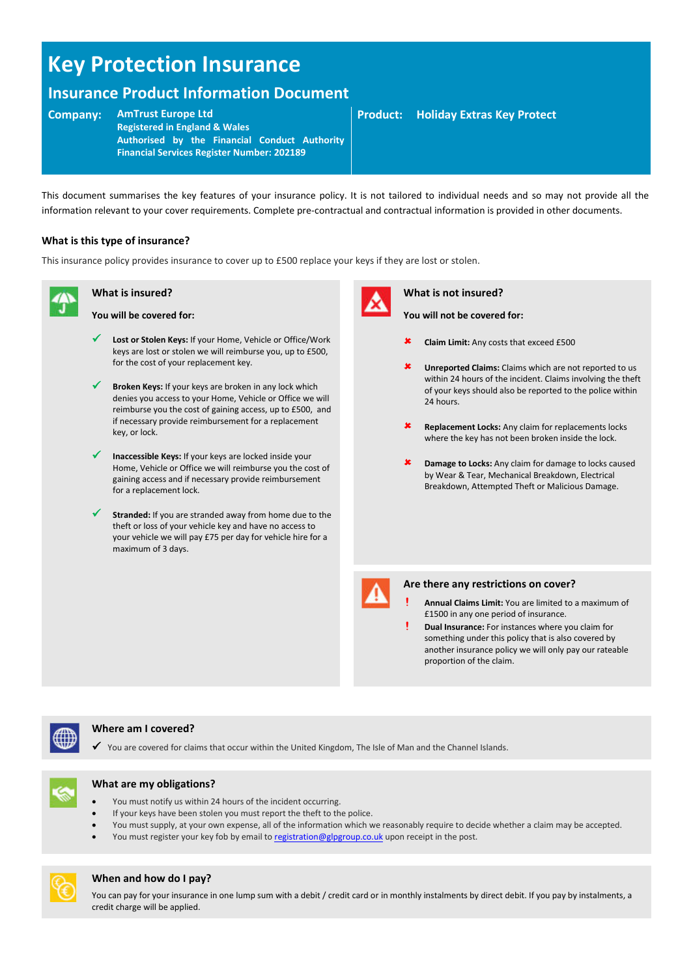# **Key Protection Insurance**

## **Insurance Product Information Document**

#### **Company: AmTrust Europe Ltd**

**Registered in England & Wales Authorised by the Financial Conduct Authority Financial Services Register Number: 202189**

This document summarises the key features of your insurance policy. It is not tailored to individual needs and so may not provide all the information relevant to your cover requirements. Complete pre-contractual and contractual information is provided in other documents.

#### **What is this type of insurance?**

This insurance policy provides insurance to cover up to £500 replace your keys if they are lost or stolen.

## **What is insured?**

- **You will be covered for:** 
	- **Lost or Stolen Keys:** If your Home, Vehicle or Office/Work keys are lost or stolen we will reimburse you, up to £500, for the cost of your replacement key.
	- **Broken Keys:** If your keys are broken in any lock which denies you access to your Home, Vehicle or Office we will reimburse you the cost of gaining access, up to £500, and if necessary provide reimbursement for a replacement key, or lock.
- **Inaccessible Keys:** If your keys are locked inside your Home, Vehicle or Office we will reimburse you the cost of gaining access and if necessary provide reimbursement for a replacement lock.
- **Stranded:** If you are stranded away from home due to the theft or loss of your vehicle key and have no access to your vehicle we will pay £75 per day for vehicle hire for a maximum of 3 days.



#### **What is not insured?**

- **You will not be covered for:**
- **Claim Limit:** Any costs that exceed £500
- **Unreported Claims:** Claims which are not reported to us within 24 hours of the incident. Claims involving the theft of your keys should also be reported to the police within 24 hours.
- **Replacement Locks:** Any claim for replacements locks where the key has not been broken inside the lock.
- **Damage to Locks:** Any claim for damage to locks caused by Wear & Tear, Mechanical Breakdown, Electrical Breakdown, Attempted Theft or Malicious Damage.



#### **Are there any restrictions on cover?**

- **! Annual Claims Limit:** You are limited to a maximum of £1500 in any one period of insurance.
- **! Dual Insurance:** For instances where you claim for something under this policy that is also covered by another insurance policy we will only pay our rateable proportion of the claim.



#### **Where am I covered?**

Y ou are covered for claims that occur within the United Kingdom, The Isle of Man and the Channel Islands.



#### **What are my obligations?**

- You must notify us within 24 hours of the incident occurring.
- If your keys have been stolen you must report the theft to the police.
- You must supply, at your own expense, all of the information which we reasonably require to decide whether a claim may be accepted.
- You must register your key fob by email t[o registration@glpgroup.co.uk u](mailto:registration@glpgroup.co.uk)pon receipt in the post.



#### **When and how do I pay?**

You can pay for your insurance in one lump sum with a debit / credit card or in monthly instalments by direct debit. If you pay by instalments, a credit charge will be applied.

### **Product: Holiday Extras Key Protect**